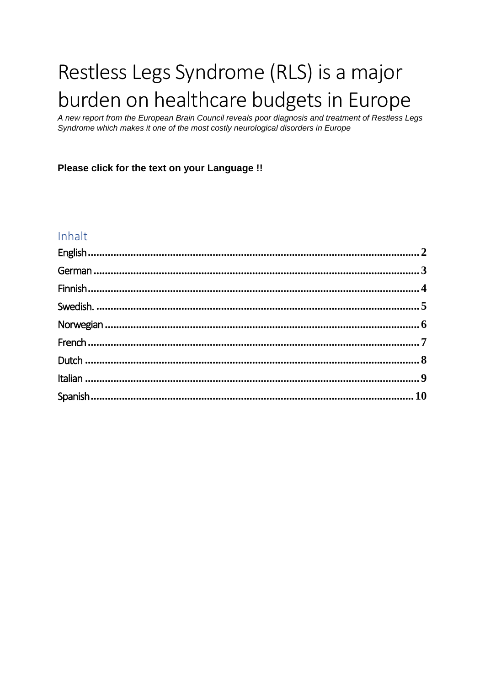# Restless Legs Syndrome (RLS) is a major burden on healthcare budgets in Europe

A new report from the European Brain Council reveals poor diagnosis and treatment of Restless Legs Syndrome which makes it one of the most costly neurological disorders in Europe

Please click for the text on your Language !!

#### Inhalt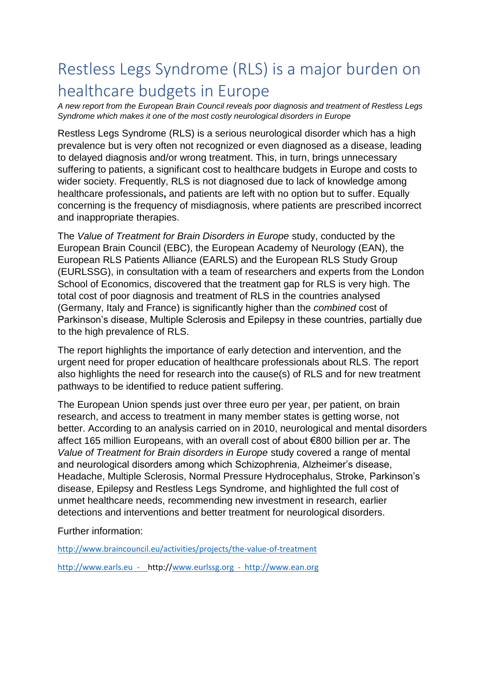# <span id="page-1-0"></span>Restless Legs Syndrome (RLS) is a major burden on healthcare budgets in Europe

*A new report from the European Brain Council reveals poor diagnosis and treatment of Restless Legs Syndrome which makes it one of the most costly neurological disorders in Europe* 

Restless Legs Syndrome (RLS) is a serious neurological disorder which has a high prevalence but is very often not recognized or even diagnosed as a disease, leading to delayed diagnosis and/or wrong treatment. This, in turn, brings unnecessary suffering to patients, a significant cost to healthcare budgets in Europe and costs to wider society. Frequently, RLS is not diagnosed due to lack of knowledge among healthcare professionals**,** and patients are left with no option but to suffer. Equally concerning is the frequency of misdiagnosis, where patients are prescribed incorrect and inappropriate therapies.

The *Value of Treatment for Brain Disorders in Europe* study, conducted by the European Brain Council (EBC), the European Academy of Neurology (EAN), the European RLS Patients Alliance (EARLS) and the European RLS Study Group (EURLSSG), in consultation with a team of researchers and experts from the London School of Economics, discovered that the treatment gap for RLS is very high. The total cost of poor diagnosis and treatment of RLS in the countries analysed (Germany, Italy and France) is significantly higher than the *combined* cost of Parkinson's disease, Multiple Sclerosis and Epilepsy in these countries, partially due to the high prevalence of RLS.

The report highlights the importance of early detection and intervention, and the urgent need for proper education of healthcare professionals about RLS. The report also highlights the need for research into the cause(s) of RLS and for new treatment pathways to be identified to reduce patient suffering.

The European Union spends just over three euro per year, per patient, on brain research, and access to treatment in many member states is getting worse, not better. According to an analysis carried on in 2010, neurological and mental disorders affect 165 million Europeans, with an overall cost of about €800 billion per ar. The *Value of Treatment for Brain disorders in Europe* study covered a range of mental and neurological disorders among which Schizophrenia, Alzheimer's disease, Headache, Multiple Sclerosis, Normal Pressure Hydrocephalus, Stroke, Parkinson's disease, Epilepsy and Restless Legs Syndrome, and highlighted the full cost of unmet healthcare needs, recommending new investment in research, earlier detections and interventions and better treatment for neurological disorders.

Further information:

<http://www.braincouncil.eu/activities/projects/the-value-of-treatment>

[http://www.earls.eu](http://www.earls.eu/) - http:/[/www.eurlssg.org](http://www.eurlssg.org/) - [http://www.ean.org](http://www.ean.org/)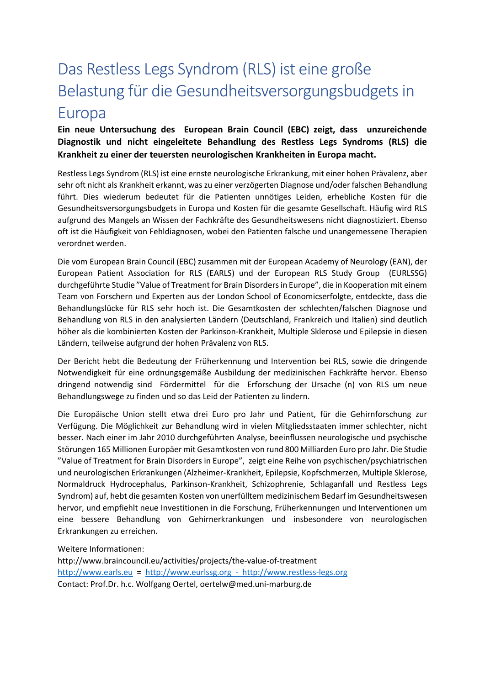# <span id="page-2-0"></span>Das Restless Legs Syndrom (RLS) ist eine große Belastung für die Gesundheitsversorgungsbudgets in Europa

**Ein neue Untersuchung des European Brain Council (EBC) zeigt, dass unzureichende Diagnostik und nicht eingeleitete Behandlung des Restless Legs Syndroms (RLS) die Krankheit zu einer der teuersten neurologischen Krankheiten in Europa macht.**

Restless Legs Syndrom (RLS) ist eine ernste neurologische Erkrankung, mit einer hohen Prävalenz, aber sehr oft nicht als Krankheit erkannt, was zu einer verzögerten Diagnose und/oder falschen Behandlung führt. Dies wiederum bedeutet für die Patienten unnötiges Leiden, erhebliche Kosten für die Gesundheitsversorgungsbudgets in Europa und Kosten für die gesamte Gesellschaft. Häufig wird RLS aufgrund des Mangels an Wissen der Fachkräfte des Gesundheitswesens nicht diagnostiziert. Ebenso oft ist die Häufigkeit von Fehldiagnosen, wobei den Patienten falsche und unangemessene Therapien verordnet werden.

Die vom European Brain Council (EBC) zusammen mit der European Academy of Neurology (EAN), der European Patient Association for RLS (EARLS) und der European RLS Study Group (EURLSSG) durchgeführte Studie "Value of Treatment for Brain Disorders in Europe", die in Kooperation mit einem Team von Forschern und Experten aus der London School of Economicserfolgte, entdeckte, dass die Behandlungslücke für RLS sehr hoch ist. Die Gesamtkosten der schlechten/falschen Diagnose und Behandlung von RLS in den analysierten Ländern (Deutschland, Frankreich und Italien) sind deutlich höher als die kombinierten Kosten der Parkinson-Krankheit, Multiple Sklerose und Epilepsie in diesen Ländern, teilweise aufgrund der hohen Prävalenz von RLS.

Der Bericht hebt die Bedeutung der Früherkennung und Intervention bei RLS, sowie die dringende Notwendigkeit für eine ordnungsgemäße Ausbildung der medizinischen Fachkräfte hervor. Ebenso dringend notwendig sind Fördermittel für die Erforschung der Ursache (n) von RLS um neue Behandlungswege zu finden und so das Leid der Patienten zu lindern.

Die Europäische Union stellt etwa drei Euro pro Jahr und Patient, für die Gehirnforschung zur Verfügung. Die Möglichkeit zur Behandlung wird in vielen Mitgliedsstaaten immer schlechter, nicht besser. Nach einer im Jahr 2010 durchgeführten Analyse, beeinflussen neurologische und psychische Störungen 165 Millionen Europäer mit Gesamtkosten von rund 800 Milliarden Euro pro Jahr. Die Studie "Value of Treatment for Brain Disorders in Europe", zeigt eine Reihe von psychischen/psychiatrischen und neurologischen Erkrankungen (Alzheimer-Krankheit, Epilepsie, Kopfschmerzen, Multiple Sklerose, Normaldruck Hydrocephalus, Parkinson-Krankheit, Schizophrenie, Schlaganfall und Restless Legs Syndrom) auf, hebt die gesamten Kosten von unerfülltem medizinischem Bedarf im Gesundheitswesen hervor, und empfiehlt neue Investitionen in die Forschung, Früherkennungen und Interventionen um eine bessere Behandlung von Gehirnerkrankungen und insbesondere von neurologischen Erkrankungen zu erreichen.

#### Weitere Informationen:

http://www.braincouncil.eu/activities/projects/the-value-of-treatment [http://www.earls.eu](http://www.earls.eu/) = [http://www.eurlssg.org](http://www.eurlssg.org/) - [http://www.restless-legs.org](http://www.restless-legs.org/) Contact: Prof.Dr. h.c. Wolfgang Oertel, oertelw@med.uni-marburg.de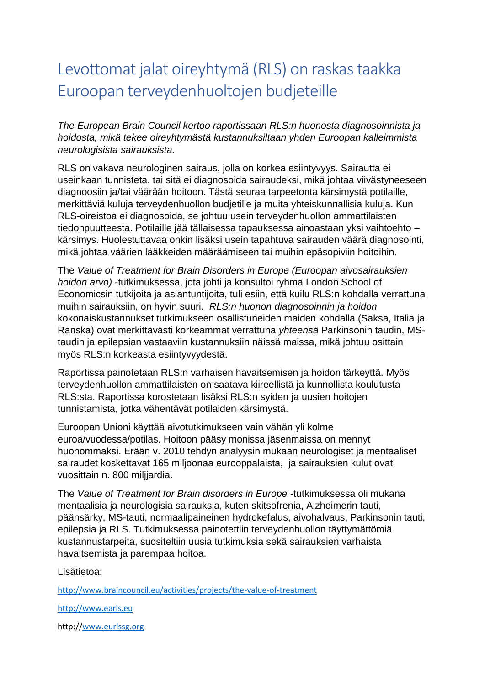# <span id="page-3-0"></span>Levottomat jalat oireyhtymä (RLS) on raskas taakka Euroopan terveydenhuoltojen budjeteille

*The European Brain Council kertoo raportissaan RLS:n huonosta diagnosoinnista ja hoidosta, mikä tekee oireyhtymästä kustannuksiltaan yhden Euroopan kalleimmista neurologisista sairauksista.*

RLS on vakava neurologinen sairaus, jolla on korkea esiintyvyys. Sairautta ei useinkaan tunnisteta, tai sitä ei diagnosoida sairaudeksi, mikä johtaa viivästyneeseen diagnoosiin ja/tai väärään hoitoon. Tästä seuraa tarpeetonta kärsimystä potilaille, merkittäviä kuluja terveydenhuollon budjetille ja muita yhteiskunnallisia kuluja. Kun RLS-oireistoa ei diagnosoida, se johtuu usein terveydenhuollon ammattilaisten tiedonpuutteesta. Potilaille jää tällaisessa tapauksessa ainoastaan yksi vaihtoehto – kärsimys. Huolestuttavaa onkin lisäksi usein tapahtuva sairauden väärä diagnosointi, mikä johtaa väärien lääkkeiden määräämiseen tai muihin epäsopiviin hoitoihin.

The *Value of Treatment for Brain Disorders in Europe (Euroopan aivosairauksien hoidon arvo)* -tutkimuksessa, jota johti ja konsultoi ryhmä London School of Economicsin tutkijoita ja asiantuntijoita, tuli esiin, että kuilu RLS:n kohdalla verrattuna muihin sairauksiin, on hyvin suuri. *RLS:n huonon diagnosoinnin ja hoidon* kokonaiskustannukset tutkimukseen osallistuneiden maiden kohdalla (Saksa, Italia ja Ranska) ovat merkittävästi korkeammat verrattuna *yhteensä* Parkinsonin taudin, MStaudin ja epilepsian vastaaviin kustannuksiin näissä maissa, mikä johtuu osittain myös RLS:n korkeasta esiintyvyydestä.

Raportissa painotetaan RLS:n varhaisen havaitsemisen ja hoidon tärkeyttä. Myös terveydenhuollon ammattilaisten on saatava kiireellistä ja kunnollista koulutusta RLS:sta. Raportissa korostetaan lisäksi RLS:n syiden ja uusien hoitojen tunnistamista, jotka vähentävät potilaiden kärsimystä.

Euroopan Unioni käyttää aivotutkimukseen vain vähän yli kolme euroa/vuodessa/potilas. Hoitoon pääsy monissa jäsenmaissa on mennyt huonommaksi. Erään v. 2010 tehdyn analyysin mukaan neurologiset ja mentaaliset sairaudet koskettavat 165 miljoonaa eurooppalaista, ja sairauksien kulut ovat vuosittain n. 800 miljjardia.

The *Value of Treatment for Brain disorders in Europe* -tutkimuksessa oli mukana mentaalisia ja neurologisia sairauksia, kuten skitsofrenia, Alzheimerin tauti, päänsärky, MS-tauti, normaalipaineinen hydrokefalus, aivohalvaus, Parkinsonin tauti, epilepsia ja RLS. Tutkimuksessa painotettiin terveydenhuollon täyttymättömiä kustannustarpeita, suositeltiin uusia tutkimuksia sekä sairauksien varhaista havaitsemista ja parempaa hoitoa.

Lisätietoa:

<http://www.braincouncil.eu/activities/projects/the-value-of-treatment>

[http://www.earls.eu](http://www.earls.eu/)

http:/[/www.eurlssg.org](http://www.eurlssg.org/)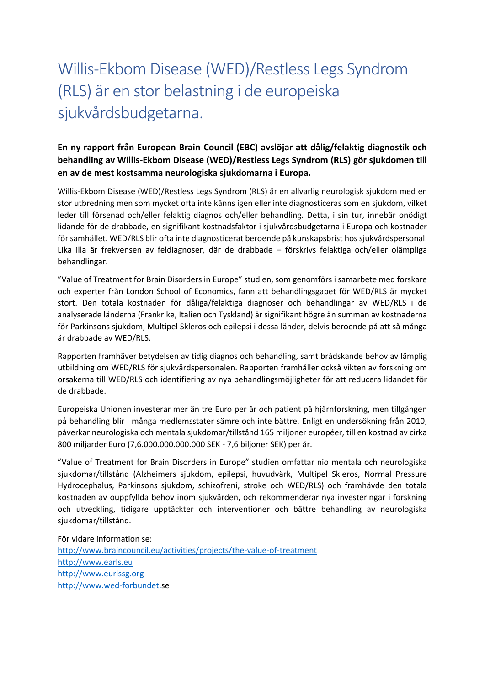# <span id="page-4-0"></span>Willis-Ekbom Disease (WED)/Restless Legs Syndrom (RLS) är en stor belastning i de europeiska sjukvårdsbudgetarna.

#### **En ny rapport från European Brain Council (EBC) avslöjar att dålig/felaktig diagnostik och behandling av Willis-Ekbom Disease (WED)/Restless Legs Syndrom (RLS) gör sjukdomen till en av de mest kostsamma neurologiska sjukdomarna i Europa.**

Willis-Ekbom Disease (WED)/Restless Legs Syndrom (RLS) är en allvarlig neurologisk sjukdom med en stor utbredning men som mycket ofta inte känns igen eller inte diagnosticeras som en sjukdom, vilket leder till försenad och/eller felaktig diagnos och/eller behandling. Detta, i sin tur, innebär onödigt lidande för de drabbade, en signifikant kostnadsfaktor i sjukvårdsbudgetarna i Europa och kostnader för samhället. WED/RLS blir ofta inte diagnosticerat beroende på kunskapsbrist hos sjukvårdspersonal. Lika illa är frekvensen av feldiagnoser, där de drabbade – förskrivs felaktiga och/eller olämpliga behandlingar.

"Value of Treatment for Brain Disorders in Europe" studien, som genomförs i samarbete med forskare och experter från London School of Economics, fann att behandlingsgapet för WED/RLS är mycket stort. Den totala kostnaden för dåliga/felaktiga diagnoser och behandlingar av WED/RLS i de analyserade länderna (Frankrike, Italien och Tyskland) är signifikant högre än summan av kostnaderna för Parkinsons sjukdom, Multipel Skleros och epilepsi i dessa länder, delvis beroende på att så många är drabbade av WED/RLS.

Rapporten framhäver betydelsen av tidig diagnos och behandling, samt brådskande behov av lämplig utbildning om WED/RLS för sjukvårdspersonalen. Rapporten framhåller också vikten av forskning om orsakerna till WED/RLS och identifiering av nya behandlingsmöjligheter för att reducera lidandet för de drabbade.

Europeiska Unionen investerar mer än tre Euro per år och patient på hjärnforskning, men tillgången på behandling blir i många medlemsstater sämre och inte bättre. Enligt en undersökning från 2010, påverkar neurologiska och mentala sjukdomar/tillstånd 165 miljoner européer, till en kostnad av cirka 800 miljarder Euro (7,6.000.000.000.000 SEK - 7,6 biljoner SEK) per år.

"Value of Treatment for Brain Disorders in Europe" studien omfattar nio mentala och neurologiska sjukdomar/tillstånd (Alzheimers sjukdom, epilepsi, huvudvärk, Multipel Skleros, Normal Pressure Hydrocephalus, Parkinsons sjukdom, schizofreni, stroke och WED/RLS) och framhävde den totala kostnaden av ouppfyllda behov inom sjukvården, och rekommenderar nya investeringar i forskning och utveckling, tidigare upptäckter och interventioner och bättre behandling av neurologiska sjukdomar/tillstånd.

För vidare information se: <http://www.braincouncil.eu/activities/projects/the-value-of-treatment> [http://www.earls.eu](http://www.earls.eu/) [http://www.eurlssg.org](http://www.eurlssg.org/) [http://www.wed-forbundet.s](http://www.wed-forbundet./)e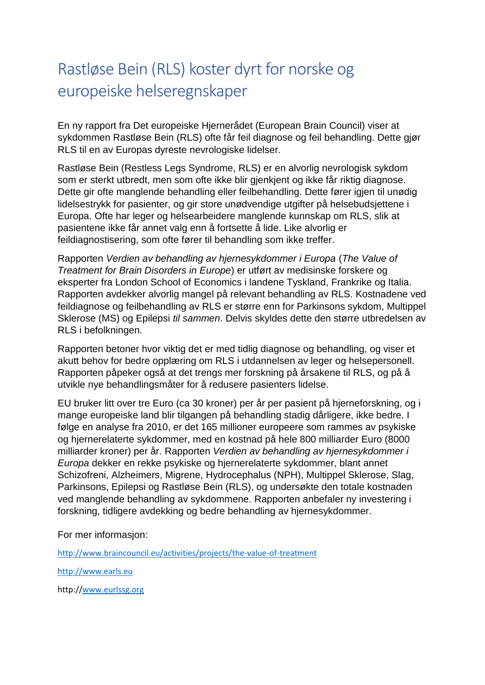# <span id="page-5-0"></span>Rastløse Bein (RLS) koster dyrt for norske og europeiske helseregnskaper

En ny rapport fra Det europeiske Hjernerådet (European Brain Council) viser at sykdommen Rastløse Bein (RLS) ofte får feil diagnose og feil behandling. Dette gjør RLS til en av Europas dyreste nevrologiske lidelser.

Rastløse Bein (Restless Legs Syndrome, RLS) er en alvorlig nevrologisk sykdom som er sterkt utbredt, men som ofte ikke blir gjenkjent og ikke får riktig diagnose. Dette gir ofte manglende behandling eller feilbehandling. Dette fører igjen til unødig lidelsestrykk for pasienter, og gir store unødvendige utgifter på helsebudsjettene i Europa. Ofte har leger og helsearbeidere manglende kunnskap om RLS, slik at pasientene ikke får annet valg enn å fortsette å lide. Like alvorlig er feildiagnostisering, som ofte fører til behandling som ikke treffer.

Rapporten *Verdien av behandling av hjernesykdommer i Europa* (*The Value of Treatment for Brain Disorders in Europe*) er utført av medisinske forskere og eksperter fra London School of Economics i landene Tyskland, Frankrike og Italia. Rapporten avdekker alvorlig mangel på relevant behandling av RLS. Kostnadene ved feildiagnose og feilbehandling av RLS er større enn for Parkinsons sykdom, Multippel Sklerose (MS) og Epilepsi *til sammen*. Delvis skyldes dette den større utbredelsen av RLS i befolkningen.

Rapporten betoner hvor viktig det er med tidlig diagnose og behandling, og viser et akutt behov for bedre opplæring om RLS i utdannelsen av leger og helsepersonell. Rapporten påpeker også at det trengs mer forskning på årsakene til RLS, og på å utvikle nye behandlingsmåter for å redusere pasienters lidelse.

EU bruker litt over tre Euro (ca 30 kroner) per år per pasient på hjerneforskning, og i mange europeiske land blir tilgangen på behandling stadig dårligere, ikke bedre. I følge en analyse fra 2010, er det 165 millioner europeere som rammes av psykiske og hjernerelaterte sykdommer, med en kostnad på hele 800 milliarder Euro (8000 milliarder kroner) per år. Rapporten *Verdien av behandling av hjernesykdommer i Europa* dekker en rekke psykiske og hjernerelaterte sykdommer, blant annet Schizofreni, Alzheimers, Migrene, Hydrocephalus (NPH), Multippel Sklerose, Slag, Parkinsons, Epilepsi og Rastløse Bein (RLS), og undersøkte den totale kostnaden ved manglende behandling av sykdommene. Rapporten anbefaler ny investering i forskning, tidligere avdekking og bedre behandling av hjernesykdommer.

For mer informasjon:

<http://www.braincouncil.eu/activities/projects/the-value-of-treatment>

[http://www.earls.eu](http://www.earls.eu/)

http:/[/www.eurlssg.org](http://www.eurlssg.org/)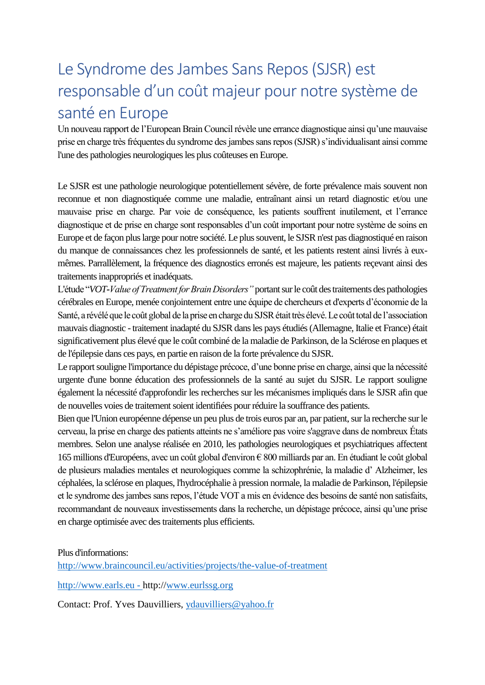# <span id="page-6-0"></span>Le Syndrome des Jambes Sans Repos (SJSR) est responsable d'un coût majeur pour notre système de santé en Europe

Un nouveau rapport de l'European Brain Council révèle une errance diagnostique ainsi qu'une mauvaise prise en charge très fréquentes du syndrome des jambes sans repos (SJSR) s'individualisant ainsi comme l'une des pathologies neurologiques les plus coûteuses en Europe.

Le SJSR est une pathologie neurologique potentiellement sévère, de forte prévalence mais souvent non reconnue et non diagnostiquée comme une maladie, entraînant ainsi un retard diagnostic et/ou une mauvaise prise en charge. Par voie de conséquence, les patients souffrent inutilement, et l'errance diagnostique et de prise en charge sont responsables d'un coût important pour notre système de soins en Europe et de façon plus large pour notre société. Le plus souvent, le SJSR n'est pas diagnostiqué en raison du manque de connaissances chez les professionnels de santé, et les patients restent ainsi livrés à euxmêmes. Parrallèlement, la fréquence des diagnostics erronés est majeure, les patients reçevant ainsi des traitements inappropriés et inadéquats.

L'étude "*VOT-Value of Treatment for Brain Disorders"* portant surle coût des traitements des pathologies cérébrales en Europe, menée conjointement entre une équipe de chercheurs et d'experts d'économie de la Santé, a révélé que le coût global de la prise en charge du SJSR était très élevé. Le coût total de l'association mauvais diagnostic - traitement inadapté du SJSR dans les pays étudiés (Allemagne, Italie et France) était significativement plus élevé que le coût combiné de la maladie de Parkinson, de la Sclérose en plaques et de l'épilepsie dans ces pays, en partie en raison de la forte prévalence du SJSR.

Le rapport souligne l'importance du dépistage précoce, d'une bonne prise en charge, ainsi que la nécessité urgente d'une bonne éducation des professionnels de la santé au sujet du SJSR. Le rapport souligne également la nécessité d'approfondir les recherches sur les mécanismes impliqués dans le SJSR afin que de nouvelles voies de traitement soient identifiées pour réduire la souffrance des patients.

Bien que l'Union européenne dépense un peu plus de trois euros par an, par patient, sur la recherche sur le cerveau, la prise en charge des patients atteints ne s'améliore pas voire s'aggrave dans de nombreux États membres. Selon une analyse réalisée en 2010, les pathologies neurologiques et psychiatriques affectent 165 millions d'Européens, avec un coût global d'environ € 800 milliards par an. En étudiant le coût global de plusieurs maladies mentales et neurologiques comme la schizophrénie, la maladie d' Alzheimer, les céphalées, la sclérose en plaques, l'hydrocéphalie à pression normale, la maladie de Parkinson, l'épilepsie et le syndrome des jambes sans repos, l'étude VOT a mis en évidence des besoins de santé non satisfaits, recommandant de nouveaux investissements dans la recherche, un dépistage précoce, ainsi qu'une prise en charge optimisée avec des traitements plus efficients.

Plus d'informations:

<http://www.braincouncil.eu/activities/projects/the-value-of-treatment>

[http://www.earls.eu](http://www.earls.eu/) - http:/[/www.eurlssg.org](http://www.eurlssg.org/)

Contact: Prof. Yves Dauvilliers, [ydauvilliers@yahoo.fr](mailto:ydauvilliers@yahoo.fr)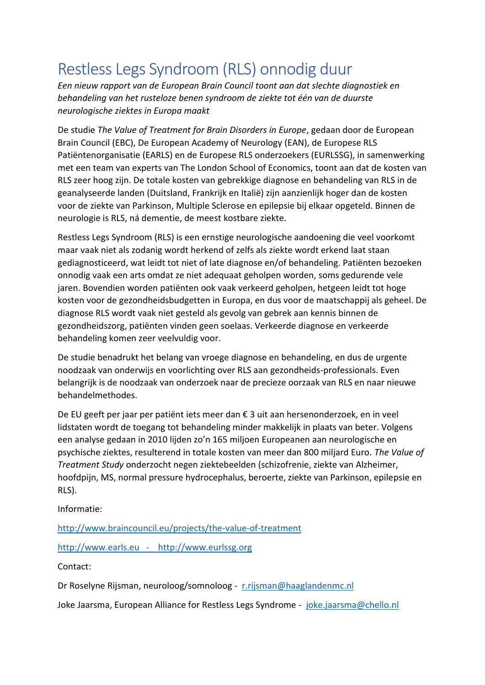# <span id="page-7-0"></span>Restless Legs Syndroom (RLS) onnodig duur

*Een nieuw rapport van de European Brain Council toont aan dat slechte diagnostiek en behandeling van het rusteloze benen syndroom de ziekte tot één van de duurste neurologische ziektes in Europa maakt*

De studie *The Value of Treatment for Brain Disorders in Europe*, gedaan door de European Brain Council (EBC), De European Academy of Neurology (EAN), de Europese RLS Patiëntenorganisatie (EARLS) en de Europese RLS onderzoekers (EURLSSG), in samenwerking met een team van experts van The London School of Economics, toont aan dat de kosten van RLS zeer hoog zijn. De totale kosten van gebrekkige diagnose en behandeling van RLS in de geanalyseerde landen (Duitsland, Frankrijk en Italië) zijn aanzienlijk hoger dan de kosten voor de ziekte van Parkinson, Multiple Sclerose en epilepsie bij elkaar opgeteld. Binnen de neurologie is RLS, ná dementie, de meest kostbare ziekte.

Restless Legs Syndroom (RLS) is een ernstige neurologische aandoening die veel voorkomt maar vaak niet als zodanig wordt herkend of zelfs als ziekte wordt erkend laat staan gediagnosticeerd, wat leidt tot niet of late diagnose en/of behandeling. Patiënten bezoeken onnodig vaak een arts omdat ze niet adequaat geholpen worden, soms gedurende vele jaren. Bovendien worden patiënten ook vaak verkeerd geholpen, hetgeen leidt tot hoge kosten voor de gezondheidsbudgetten in Europa, en dus voor de maatschappij als geheel. De diagnose RLS wordt vaak niet gesteld als gevolg van gebrek aan kennis binnen de gezondheidszorg, patiënten vinden geen soelaas. Verkeerde diagnose en verkeerde behandeling komen zeer veelvuldig voor.

De studie benadrukt het belang van vroege diagnose en behandeling, en dus de urgente noodzaak van onderwijs en voorlichting over RLS aan gezondheids-professionals. Even belangrijk is de noodzaak van onderzoek naar de precieze oorzaak van RLS en naar nieuwe behandelmethodes.

De EU geeft per jaar per patiënt iets meer dan € 3 uit aan hersenonderzoek, en in veel lidstaten wordt de toegang tot behandeling minder makkelijk in plaats van beter. Volgens een analyse gedaan in 2010 lijden zo'n 165 miljoen Europeanen aan neurologische en psychische ziektes, resulterend in totale kosten van meer dan 800 miljard Euro. *The Value of Treatment Study* onderzocht negen ziektebeelden (schizofrenie, ziekte van Alzheimer, hoofdpijn, MS, normal pressure hydrocephalus, beroerte, ziekte van Parkinson, epilepsie en RLS).

Informatie:

<http://www.braincouncil.eu/projects/the-value-of-treatment>

[http://www.earls.eu](http://www.earls.eu/) - [http://www.eurlssg.org](http://www.eurlssg.org/)

Contact:

Dr Roselyne Rijsman, neuroloog/somnoloog - [r.rijsman@haaglandenmc.nl](mailto:r.rijsman@haaglandenmc.nl)

Joke Jaarsma, European Alliance for Restless Legs Syndrome - [joke.jaarsma@chello.nl](mailto:joke.jaarsma@chello.nl)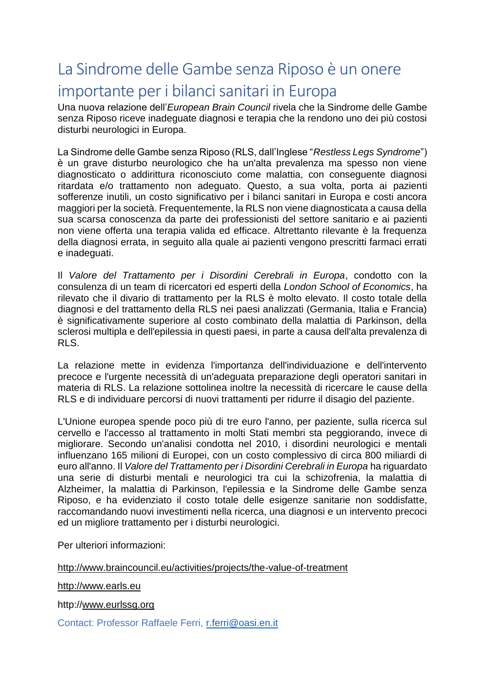### <span id="page-8-0"></span>La Sindrome delle Gambe senza Riposo è un onere importante per i bilanci sanitari in Europa

Una nuova relazione dell'*European Brain Council* rivela che la Sindrome delle Gambe senza Riposo riceve inadeguate diagnosi e terapia che la rendono uno dei più costosi disturbi neurologici in Europa.

La Sindrome delle Gambe senza Riposo (RLS, dall'Inglese "*Restless Legs Syndrome*") è un grave disturbo neurologico che ha un'alta prevalenza ma spesso non viene diagnosticato o addirittura riconosciuto come malattia, con conseguente diagnosi ritardata e/o trattamento non adeguato. Questo, a sua volta, porta ai pazienti sofferenze inutili, un costo significativo per i bilanci sanitari in Europa e costi ancora maggiori per la società. Frequentemente, la RLS non viene diagnosticata a causa della sua scarsa conoscenza da parte dei professionisti del settore sanitario e ai pazienti non viene offerta una terapia valida ed efficace. Altrettanto rilevante è la frequenza della diagnosi errata, in seguito alla quale ai pazienti vengono prescritti farmaci errati e inadeguati.

Il *Valore del Trattamento per i Disordini Cerebrali in Europa*, condotto con la consulenza di un team di ricercatori ed esperti della *London School of Economics*, ha rilevato che il divario di trattamento per la RLS è molto elevato. Il costo totale della diagnosi e del trattamento della RLS nei paesi analizzati (Germania, Italia e Francia) è significativamente superiore al costo combinato della malattia di Parkinson, della sclerosi multipla e dell'epilessia in questi paesi, in parte a causa dell'alta prevalenza di RLS.

La relazione mette in evidenza l'importanza dell'individuazione e dell'intervento precoce e l'urgente necessità di un'adeguata preparazione degli operatori sanitari in materia di RLS. La relazione sottolinea inoltre la necessità di ricercare le cause della RLS e di individuare percorsi di nuovi trattamenti per ridurre il disagio del paziente.

L'Unione europea spende poco più di tre euro l'anno, per paziente, sulla ricerca sul cervello e l'accesso al trattamento in molti Stati membri sta peggiorando, invece di migliorare. Secondo un'analisi condotta nel 2010, i disordini neurologici e mentali influenzano 165 milioni di Europei, con un costo complessivo di circa 800 miliardi di euro all'anno. Il *Valore del Trattamento per i Disordini Cerebrali in Europa* ha riguardato una serie di disturbi mentali e neurologici tra cui la schizofrenia, la malattia di Alzheimer, la malattia di Parkinson, l'epilessia e la Sindrome delle Gambe senza Riposo, e ha evidenziato il costo totale delle esigenze sanitarie non soddisfatte, raccomandando nuovi investimenti nella ricerca, una diagnosi e un intervento precoci ed un migliore trattamento per i disturbi neurologici.

Per ulteriori informazioni:

<http://www.braincouncil.eu/activities/projects/the-value-of-treatment>

[http://www.earls.eu](http://www.earls.eu/)

http:/[/www.eurlssg.org](http://www.eurlssg.org/)

Contact: Professor Raffaele Ferri, [r.ferri@oasi.en.it](mailto:r.ferri@oasi.en.it)